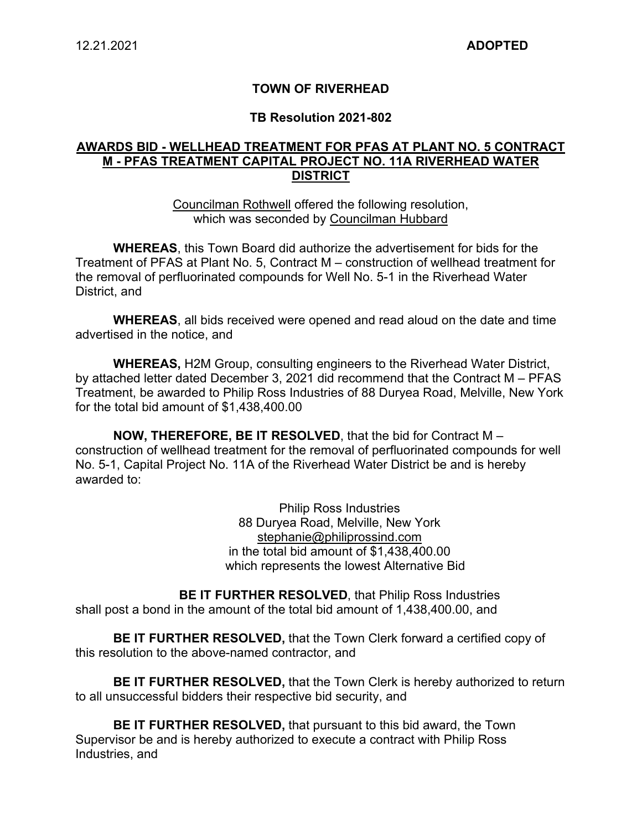### **TOWN OF RIVERHEAD**

#### **TB Resolution 2021-802**

### **AWARDS BID - WELLHEAD TREATMENT FOR PFAS AT PLANT NO. 5 CONTRACT M - PFAS TREATMENT CAPITAL PROJECT NO. 11A RIVERHEAD WATER DISTRICT**

Councilman Rothwell offered the following resolution, which was seconded by Councilman Hubbard

**WHEREAS**, this Town Board did authorize the advertisement for bids for the Treatment of PFAS at Plant No. 5, Contract M – construction of wellhead treatment for the removal of perfluorinated compounds for Well No. 5-1 in the Riverhead Water District, and

**WHEREAS**, all bids received were opened and read aloud on the date and time advertised in the notice, and

**WHEREAS,** H2M Group, consulting engineers to the Riverhead Water District, by attached letter dated December 3, 2021 did recommend that the Contract M – PFAS Treatment, be awarded to Philip Ross Industries of 88 Duryea Road, Melville, New York for the total bid amount of \$1,438,400.00

**NOW, THEREFORE, BE IT RESOLVED**, that the bid for Contract M – construction of wellhead treatment for the removal of perfluorinated compounds for well No. 5-1, Capital Project No. 11A of the Riverhead Water District be and is hereby awarded to:

> Philip Ross Industries 88 Duryea Road, Melville, New York stephanie@philiprossind.com in the total bid amount of \$1,438,400.00 which represents the lowest Alternative Bid

**BE IT FURTHER RESOLVED**, that Philip Ross Industries shall post a bond in the amount of the total bid amount of 1,438,400.00, and

**BE IT FURTHER RESOLVED,** that the Town Clerk forward a certified copy of this resolution to the above-named contractor, and

**BE IT FURTHER RESOLVED,** that the Town Clerk is hereby authorized to return to all unsuccessful bidders their respective bid security, and

**BE IT FURTHER RESOLVED,** that pursuant to this bid award, the Town Supervisor be and is hereby authorized to execute a contract with Philip Ross Industries, and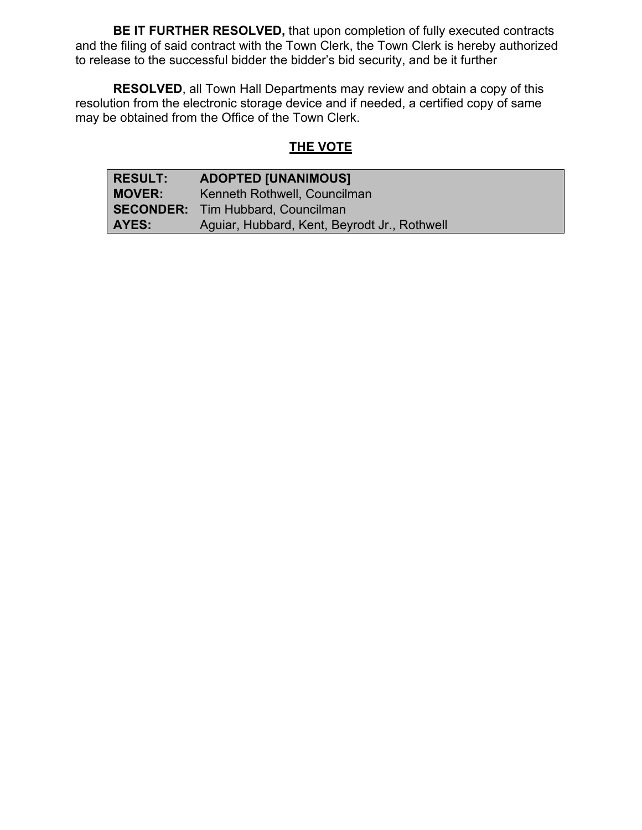**BE IT FURTHER RESOLVED,** that upon completion of fully executed contracts and the filing of said contract with the Town Clerk, the Town Clerk is hereby authorized to release to the successful bidder the bidder's bid security, and be it further

**RESOLVED**, all Town Hall Departments may review and obtain a copy of this resolution from the electronic storage device and if needed, a certified copy of same may be obtained from the Office of the Town Clerk.

# **THE VOTE**

| <b>RESULT:</b> | <b>ADOPTED [UNANIMOUS]</b>                   |
|----------------|----------------------------------------------|
| <b>MOVER:</b>  | Kenneth Rothwell, Councilman                 |
|                | <b>SECONDER:</b> Tim Hubbard, Councilman     |
| <b>AYES:</b>   | Aguiar, Hubbard, Kent, Beyrodt Jr., Rothwell |